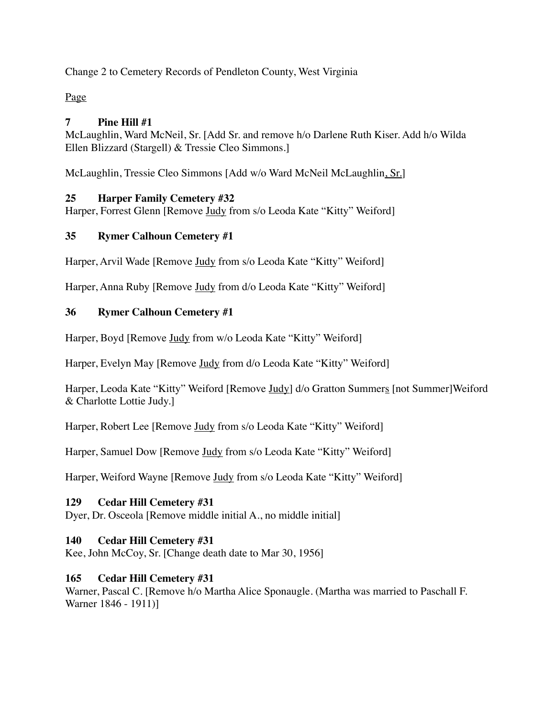Change 2 to Cemetery Records of Pendleton County, West Virginia

Page

# **7 Pine Hill #1**

McLaughlin, Ward McNeil, Sr. [Add Sr. and remove h/o Darlene Ruth Kiser. Add h/o Wilda Ellen Blizzard (Stargell) & Tressie Cleo Simmons.]

McLaughlin, Tressie Cleo Simmons [Add w/o Ward McNeil McLaughlin, Sr.]

# **25 Harper Family Cemetery #32**

Harper, Forrest Glenn [Remove Judy from s/o Leoda Kate "Kitty" Weiford]

# **35 Rymer Calhoun Cemetery #1**

Harper, Arvil Wade [Remove Judy from s/o Leoda Kate "Kitty" Weiford]

Harper, Anna Ruby [Remove Judy from d/o Leoda Kate "Kitty" Weiford]

# **36 Rymer Calhoun Cemetery #1**

Harper, Boyd [Remove Judy from w/o Leoda Kate "Kitty" Weiford]

Harper, Evelyn May [Remove Judy from d/o Leoda Kate "Kitty" Weiford]

Harper, Leoda Kate "Kitty" Weiford [Remove Judy] d/o Gratton Summers [not Summer]Weiford & Charlotte Lottie Judy.]

Harper, Robert Lee [Remove Judy from s/o Leoda Kate "Kitty" Weiford]

Harper, Samuel Dow [Remove Judy from s/o Leoda Kate "Kitty" Weiford]

Harper, Weiford Wayne [Remove Judy from s/o Leoda Kate "Kitty" Weiford]

# **129 Cedar Hill Cemetery #31**

Dyer, Dr. Osceola [Remove middle initial A., no middle initial]

# **140 Cedar Hill Cemetery #31**

Kee, John McCoy, Sr. [Change death date to Mar 30, 1956]

# **165 Cedar Hill Cemetery #31**

Warner, Pascal C. [Remove h/o Martha Alice Sponaugle. (Martha was married to Paschall F. Warner 1846 - 1911)]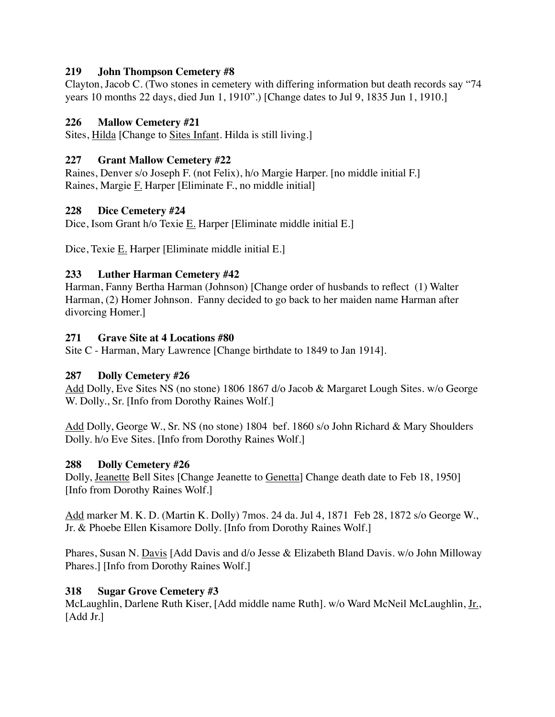#### **219 John Thompson Cemetery #8**

Clayton, Jacob C. (Two stones in cemetery with differing information but death records say "74 years 10 months 22 days, died Jun 1, 1910".) [Change dates to Jul 9, 1835 Jun 1, 1910.]

## **226 Mallow Cemetery #21**

Sites, Hilda [Change to Sites Infant. Hilda is still living.]

### **227 Grant Mallow Cemetery #22**

Raines, Denver s/o Joseph F. (not Felix), h/o Margie Harper. [no middle initial F.] Raines, Margie F. Harper [Eliminate F., no middle initial]

#### **228 Dice Cemetery #24**

Dice, Isom Grant h/o Texie E. Harper [Eliminate middle initial E.]

Dice, Texie E. Harper [Eliminate middle initial E.]

## **233 Luther Harman Cemetery #42**

Harman, Fanny Bertha Harman (Johnson) [Change order of husbands to reflect (1) Walter Harman, (2) Homer Johnson. Fanny decided to go back to her maiden name Harman after divorcing Homer.]

#### **271 Grave Site at 4 Locations #80**

Site C - Harman, Mary Lawrence [Change birthdate to 1849 to Jan 1914].

## **287 Dolly Cemetery #26**

Add Dolly, Eve Sites NS (no stone) 1806 1867 d/o Jacob & Margaret Lough Sites. w/o George W. Dolly., Sr. [Info from Dorothy Raines Wolf.]

Add Dolly, George W., Sr. NS (no stone) 1804 bef. 1860 s/o John Richard & Mary Shoulders Dolly. h/o Eve Sites. [Info from Dorothy Raines Wolf.]

## **288 Dolly Cemetery #26**

Dolly, Jeanette Bell Sites [Change Jeanette to Genetta] Change death date to Feb 18, 1950] [Info from Dorothy Raines Wolf.]

Add marker M. K. D. (Martin K. Dolly) 7mos. 24 da. Jul 4, 1871 Feb 28, 1872 s/o George W., Jr. & Phoebe Ellen Kisamore Dolly. [Info from Dorothy Raines Wolf.]

Phares, Susan N. Davis [Add Davis and d/o Jesse & Elizabeth Bland Davis. w/o John Milloway Phares.] [Info from Dorothy Raines Wolf.]

## **318 Sugar Grove Cemetery #3**

McLaughlin, Darlene Ruth Kiser, [Add middle name Ruth]. w/o Ward McNeil McLaughlin, Jr., [Add Jr.]